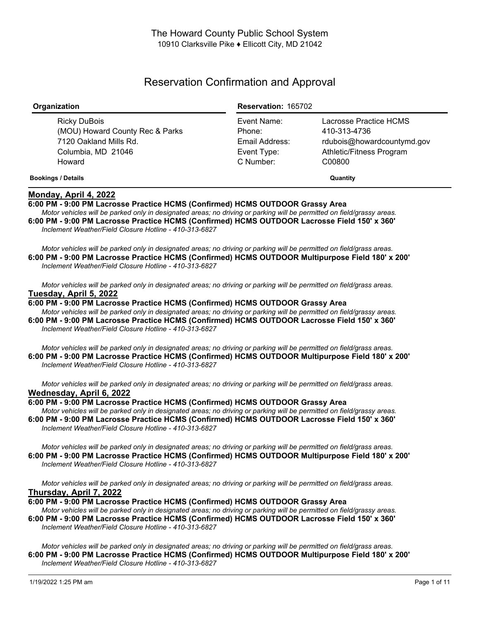# Reservation Confirmation and Approval

| Organization                                                                                              | <b>Reservation: 165702</b>                                          |                                                                                                            |
|-----------------------------------------------------------------------------------------------------------|---------------------------------------------------------------------|------------------------------------------------------------------------------------------------------------|
| Ricky DuBois<br>(MOU) Howard County Rec & Parks<br>7120 Oakland Mills Rd.<br>Columbia, MD 21046<br>Howard | Event Name:<br>Phone:<br>Email Address:<br>Event Type:<br>C Number: | Lacrosse Practice HCMS<br>410-313-4736<br>rdubois@howardcountymd.gov<br>Athletic/Fitness Program<br>C00800 |
| <b>Bookings / Details</b>                                                                                 |                                                                     | Quantity                                                                                                   |

## **Monday, April 4, 2022**

**6:00 PM - 9:00 PM Lacrosse Practice HCMS (Confirmed) HCMS OUTDOOR Grassy Area**

Motor vehicles will be parked only in designated areas; no driving or parking will be permitted on field/grassy areas. **6:00 PM - 9:00 PM Lacrosse Practice HCMS (Confirmed) HCMS OUTDOOR Lacrosse Field 150' x 360'** *Inclement Weather/Field Closure Hotline - 410-313-6827*

Motor vehicles will be parked only in designated areas; no driving or parking will be permitted on field/grass areas. **6:00 PM - 9:00 PM Lacrosse Practice HCMS (Confirmed) HCMS OUTDOOR Multipurpose Field 180' x 200'** *Inclement Weather/Field Closure Hotline - 410-313-6827*

Motor vehicles will be parked only in designated areas; no driving or parking will be permitted on field/grass areas. **Tuesday, April 5, 2022**

**6:00 PM - 9:00 PM Lacrosse Practice HCMS (Confirmed) HCMS OUTDOOR Grassy Area** Motor vehicles will be parked only in designated areas; no driving or parking will be permitted on field/grassy areas. **6:00 PM - 9:00 PM Lacrosse Practice HCMS (Confirmed) HCMS OUTDOOR Lacrosse Field 150' x 360'**

*Inclement Weather/Field Closure Hotline - 410-313-6827*

Motor vehicles will be parked only in designated areas; no driving or parking will be permitted on field/grass areas. **6:00 PM - 9:00 PM Lacrosse Practice HCMS (Confirmed) HCMS OUTDOOR Multipurpose Field 180' x 200'** *Inclement Weather/Field Closure Hotline - 410-313-6827*

Motor vehicles will be parked only in designated areas; no driving or parking will be permitted on field/grass areas. **Wednesday, April 6, 2022**

**6:00 PM - 9:00 PM Lacrosse Practice HCMS (Confirmed) HCMS OUTDOOR Grassy Area** Motor vehicles will be parked only in designated areas; no driving or parking will be permitted on field/grassy areas. **6:00 PM - 9:00 PM Lacrosse Practice HCMS (Confirmed) HCMS OUTDOOR Lacrosse Field 150' x 360'** *Inclement Weather/Field Closure Hotline - 410-313-6827*

Motor vehicles will be parked only in designated areas; no driving or parking will be permitted on field/grass areas. **6:00 PM - 9:00 PM Lacrosse Practice HCMS (Confirmed) HCMS OUTDOOR Multipurpose Field 180' x 200'** *Inclement Weather/Field Closure Hotline - 410-313-6827*

Motor vehicles will be parked only in designated areas; no driving or parking will be permitted on field/grass areas. **Thursday, April 7, 2022**

**6:00 PM - 9:00 PM Lacrosse Practice HCMS (Confirmed) HCMS OUTDOOR Grassy Area**

Motor vehicles will be parked only in designated areas; no driving or parking will be permitted on field/grassy areas. **6:00 PM - 9:00 PM Lacrosse Practice HCMS (Confirmed) HCMS OUTDOOR Lacrosse Field 150' x 360'** *Inclement Weather/Field Closure Hotline - 410-313-6827*

Motor vehicles will be parked only in designated areas; no driving or parking will be permitted on field/grass areas. **6:00 PM - 9:00 PM Lacrosse Practice HCMS (Confirmed) HCMS OUTDOOR Multipurpose Field 180' x 200'** *Inclement Weather/Field Closure Hotline - 410-313-6827*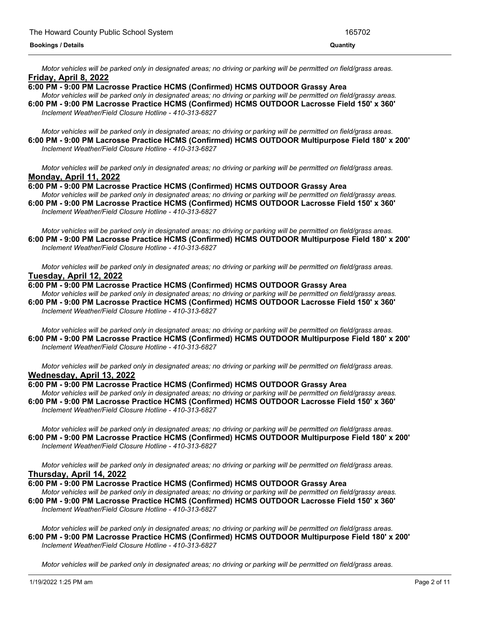Motor vehicles will be parked only in designated areas; no driving or parking will be permitted on field/grass areas. **Friday, April 8, 2022**

## **6:00 PM - 9:00 PM Lacrosse Practice HCMS (Confirmed) HCMS OUTDOOR Grassy Area**

Motor vehicles will be parked only in designated areas; no driving or parking will be permitted on field/grassy areas. **6:00 PM - 9:00 PM Lacrosse Practice HCMS (Confirmed) HCMS OUTDOOR Lacrosse Field 150' x 360'** *Inclement Weather/Field Closure Hotline - 410-313-6827*

Motor vehicles will be parked only in designated areas; no driving or parking will be permitted on field/grass areas. **6:00 PM - 9:00 PM Lacrosse Practice HCMS (Confirmed) HCMS OUTDOOR Multipurpose Field 180' x 200'** *Inclement Weather/Field Closure Hotline - 410-313-6827*

Motor vehicles will be parked only in designated areas; no driving or parking will be permitted on field/grass areas. **Monday, April 11, 2022**

**6:00 PM - 9:00 PM Lacrosse Practice HCMS (Confirmed) HCMS OUTDOOR Grassy Area**

Motor vehicles will be parked only in designated areas; no driving or parking will be permitted on field/grassy areas. **6:00 PM - 9:00 PM Lacrosse Practice HCMS (Confirmed) HCMS OUTDOOR Lacrosse Field 150' x 360'** *Inclement Weather/Field Closure Hotline - 410-313-6827*

Motor vehicles will be parked only in designated areas; no driving or parking will be permitted on field/grass areas. **6:00 PM - 9:00 PM Lacrosse Practice HCMS (Confirmed) HCMS OUTDOOR Multipurpose Field 180' x 200'** *Inclement Weather/Field Closure Hotline - 410-313-6827*

Motor vehicles will be parked only in designated areas; no driving or parking will be permitted on field/grass areas. **Tuesday, April 12, 2022**

**6:00 PM - 9:00 PM Lacrosse Practice HCMS (Confirmed) HCMS OUTDOOR Grassy Area**

Motor vehicles will be parked only in designated areas; no driving or parking will be permitted on field/grassy areas. **6:00 PM - 9:00 PM Lacrosse Practice HCMS (Confirmed) HCMS OUTDOOR Lacrosse Field 150' x 360'** *Inclement Weather/Field Closure Hotline - 410-313-6827*

Motor vehicles will be parked only in designated areas; no driving or parking will be permitted on field/grass areas. **6:00 PM - 9:00 PM Lacrosse Practice HCMS (Confirmed) HCMS OUTDOOR Multipurpose Field 180' x 200'** *Inclement Weather/Field Closure Hotline - 410-313-6827*

Motor vehicles will be parked only in designated areas; no driving or parking will be permitted on field/grass areas. **Wednesday, April 13, 2022**

## **6:00 PM - 9:00 PM Lacrosse Practice HCMS (Confirmed) HCMS OUTDOOR Grassy Area**

Motor vehicles will be parked only in designated areas; no driving or parking will be permitted on field/grassy areas. **6:00 PM - 9:00 PM Lacrosse Practice HCMS (Confirmed) HCMS OUTDOOR Lacrosse Field 150' x 360'** *Inclement Weather/Field Closure Hotline - 410-313-6827*

Motor vehicles will be parked only in designated areas; no driving or parking will be permitted on field/grass areas. **6:00 PM - 9:00 PM Lacrosse Practice HCMS (Confirmed) HCMS OUTDOOR Multipurpose Field 180' x 200'** *Inclement Weather/Field Closure Hotline - 410-313-6827*

Motor vehicles will be parked only in designated areas; no driving or parking will be permitted on field/grass areas. **Thursday, April 14, 2022**

**6:00 PM - 9:00 PM Lacrosse Practice HCMS (Confirmed) HCMS OUTDOOR Grassy Area**

Motor vehicles will be parked only in designated areas; no driving or parking will be permitted on field/grassy areas. **6:00 PM - 9:00 PM Lacrosse Practice HCMS (Confirmed) HCMS OUTDOOR Lacrosse Field 150' x 360'** *Inclement Weather/Field Closure Hotline - 410-313-6827*

Motor vehicles will be parked only in designated areas; no driving or parking will be permitted on field/grass areas. **6:00 PM - 9:00 PM Lacrosse Practice HCMS (Confirmed) HCMS OUTDOOR Multipurpose Field 180' x 200'** *Inclement Weather/Field Closure Hotline - 410-313-6827*

Motor vehicles will be parked only in designated areas; no driving or parking will be permitted on field/grass areas.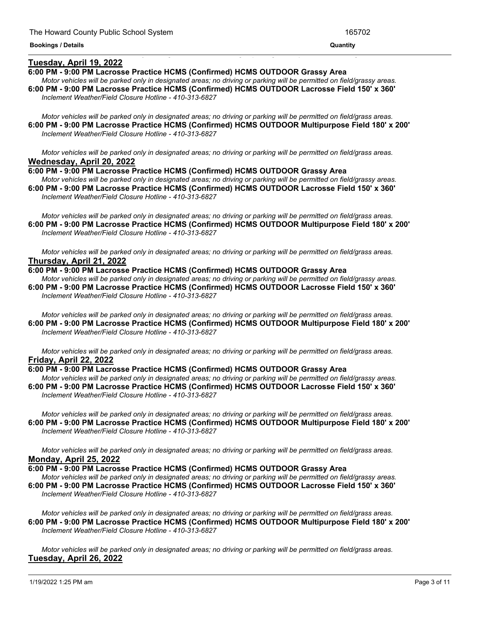## **Tuesday, April 19, 2022**

## **6:00 PM - 9:00 PM Lacrosse Practice HCMS (Confirmed) HCMS OUTDOOR Grassy Area**

Motor vehicles will be parked only in designated areas; no driving or parking will be permitted on field/grassy areas. **6:00 PM - 9:00 PM Lacrosse Practice HCMS (Confirmed) HCMS OUTDOOR Lacrosse Field 150' x 360'** *Inclement Weather/Field Closure Hotline - 410-313-6827*

<u> 1999 - Jan James James James James James James James James James James James James James James James James J</u>

Motor vehicles will be parked only in designated areas; no driving or parking will be permitted on field/grass areas. **6:00 PM - 9:00 PM Lacrosse Practice HCMS (Confirmed) HCMS OUTDOOR Multipurpose Field 180' x 200'** *Inclement Weather/Field Closure Hotline - 410-313-6827*

Motor vehicles will be parked only in designated areas; no driving or parking will be permitted on field/grass areas. **Wednesday, April 20, 2022**

**6:00 PM - 9:00 PM Lacrosse Practice HCMS (Confirmed) HCMS OUTDOOR Grassy Area** Motor vehicles will be parked only in designated areas; no driving or parking will be permitted on field/grassy areas. **6:00 PM - 9:00 PM Lacrosse Practice HCMS (Confirmed) HCMS OUTDOOR Lacrosse Field 150' x 360'** *Inclement Weather/Field Closure Hotline - 410-313-6827*

Motor vehicles will be parked only in designated areas; no driving or parking will be permitted on field/grass areas. **6:00 PM - 9:00 PM Lacrosse Practice HCMS (Confirmed) HCMS OUTDOOR Multipurpose Field 180' x 200'** *Inclement Weather/Field Closure Hotline - 410-313-6827*

Motor vehicles will be parked only in designated areas; no driving or parking will be permitted on field/grass areas. **Thursday, April 21, 2022**

## **6:00 PM - 9:00 PM Lacrosse Practice HCMS (Confirmed) HCMS OUTDOOR Grassy Area**

Motor vehicles will be parked only in designated areas; no driving or parking will be permitted on field/grassy areas. **6:00 PM - 9:00 PM Lacrosse Practice HCMS (Confirmed) HCMS OUTDOOR Lacrosse Field 150' x 360'** *Inclement Weather/Field Closure Hotline - 410-313-6827*

Motor vehicles will be parked only in designated areas; no driving or parking will be permitted on field/grass areas. **6:00 PM - 9:00 PM Lacrosse Practice HCMS (Confirmed) HCMS OUTDOOR Multipurpose Field 180' x 200'** *Inclement Weather/Field Closure Hotline - 410-313-6827*

Motor vehicles will be parked only in designated areas; no driving or parking will be permitted on field/grass areas. **Friday, April 22, 2022**

### **6:00 PM - 9:00 PM Lacrosse Practice HCMS (Confirmed) HCMS OUTDOOR Grassy Area**

Motor vehicles will be parked only in designated areas; no driving or parking will be permitted on field/grassy areas. **6:00 PM - 9:00 PM Lacrosse Practice HCMS (Confirmed) HCMS OUTDOOR Lacrosse Field 150' x 360'** *Inclement Weather/Field Closure Hotline - 410-313-6827*

Motor vehicles will be parked only in designated areas; no driving or parking will be permitted on field/grass areas. **6:00 PM - 9:00 PM Lacrosse Practice HCMS (Confirmed) HCMS OUTDOOR Multipurpose Field 180' x 200'** *Inclement Weather/Field Closure Hotline - 410-313-6827*

Motor vehicles will be parked only in designated areas; no driving or parking will be permitted on field/grass areas. **Monday, April 25, 2022**

**6:00 PM - 9:00 PM Lacrosse Practice HCMS (Confirmed) HCMS OUTDOOR Grassy Area** Motor vehicles will be parked only in designated areas; no driving or parking will be permitted on field/grassy areas. **6:00 PM - 9:00 PM Lacrosse Practice HCMS (Confirmed) HCMS OUTDOOR Lacrosse Field 150' x 360'** *Inclement Weather/Field Closure Hotline - 410-313-6827*

Motor vehicles will be parked only in designated areas; no driving or parking will be permitted on field/grass areas. **6:00 PM - 9:00 PM Lacrosse Practice HCMS (Confirmed) HCMS OUTDOOR Multipurpose Field 180' x 200'** *Inclement Weather/Field Closure Hotline - 410-313-6827*

Motor vehicles will be parked only in designated areas; no driving or parking will be permitted on field/grass areas. **Tuesday, April 26, 2022**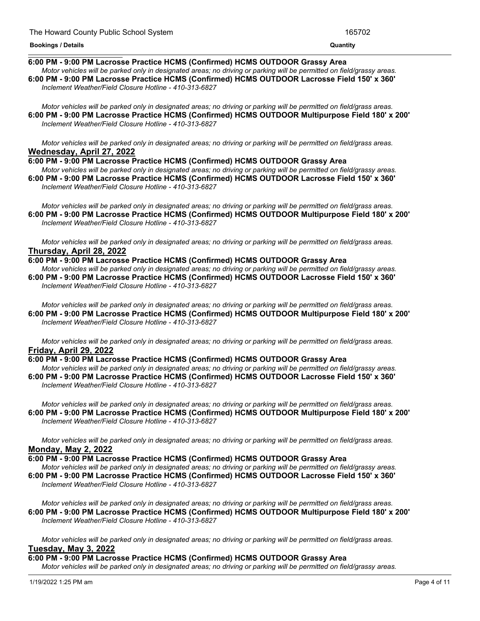#### **Tuesday, April 26, 2022 6:00 PM - 9:00 PM Lacrosse Practice HCMS (Confirmed) HCMS OUTDOOR Grassy Area**

Motor vehicles will be parked only in designated areas: no driving or parking will be permitted on field/grassy areas. **6:00 PM - 9:00 PM Lacrosse Practice HCMS (Confirmed) HCMS OUTDOOR Lacrosse Field 150' x 360'** *Inclement Weather/Field Closure Hotline - 410-313-6827*

Motor vehicles will be parked only in designated areas; no driving or parking will be permitted on field/grass areas. **6:00 PM - 9:00 PM Lacrosse Practice HCMS (Confirmed) HCMS OUTDOOR Multipurpose Field 180' x 200'** *Inclement Weather/Field Closure Hotline - 410-313-6827*

Motor vehicles will be parked only in designated areas; no driving or parking will be permitted on field/grass areas. **Wednesday, April 27, 2022**

**6:00 PM - 9:00 PM Lacrosse Practice HCMS (Confirmed) HCMS OUTDOOR Grassy Area** Motor vehicles will be parked only in designated areas: no driving or parking will be permitted on field/grassy areas. **6:00 PM - 9:00 PM Lacrosse Practice HCMS (Confirmed) HCMS OUTDOOR Lacrosse Field 150' x 360'**

*Inclement Weather/Field Closure Hotline - 410-313-6827*

Motor vehicles will be parked only in designated areas; no driving or parking will be permitted on field/grass areas. **6:00 PM - 9:00 PM Lacrosse Practice HCMS (Confirmed) HCMS OUTDOOR Multipurpose Field 180' x 200'** *Inclement Weather/Field Closure Hotline - 410-313-6827*

Motor vehicles will be parked only in designated areas; no driving or parking will be permitted on field/grass areas. **Thursday, April 28, 2022**

## **6:00 PM - 9:00 PM Lacrosse Practice HCMS (Confirmed) HCMS OUTDOOR Grassy Area**

Motor vehicles will be parked only in designated areas; no driving or parking will be permitted on field/grassy areas. **6:00 PM - 9:00 PM Lacrosse Practice HCMS (Confirmed) HCMS OUTDOOR Lacrosse Field 150' x 360'** *Inclement Weather/Field Closure Hotline - 410-313-6827*

Motor vehicles will be parked only in designated areas; no driving or parking will be permitted on field/grass areas. **6:00 PM - 9:00 PM Lacrosse Practice HCMS (Confirmed) HCMS OUTDOOR Multipurpose Field 180' x 200'** *Inclement Weather/Field Closure Hotline - 410-313-6827*

Motor vehicles will be parked only in designated areas; no driving or parking will be permitted on field/grass areas. **Friday, April 29, 2022**

## **6:00 PM - 9:00 PM Lacrosse Practice HCMS (Confirmed) HCMS OUTDOOR Grassy Area**

Motor vehicles will be parked only in designated areas; no driving or parking will be permitted on field/grassy areas. **6:00 PM - 9:00 PM Lacrosse Practice HCMS (Confirmed) HCMS OUTDOOR Lacrosse Field 150' x 360'** *Inclement Weather/Field Closure Hotline - 410-313-6827*

Motor vehicles will be parked only in designated areas; no driving or parking will be permitted on field/grass areas. **6:00 PM - 9:00 PM Lacrosse Practice HCMS (Confirmed) HCMS OUTDOOR Multipurpose Field 180' x 200'** *Inclement Weather/Field Closure Hotline - 410-313-6827*

Motor vehicles will be parked only in designated areas; no driving or parking will be permitted on field/grass areas. **Monday, May 2, 2022**

**6:00 PM - 9:00 PM Lacrosse Practice HCMS (Confirmed) HCMS OUTDOOR Grassy Area** Motor vehicles will be parked only in designated areas; no driving or parking will be permitted on field/grassy areas.

**6:00 PM - 9:00 PM Lacrosse Practice HCMS (Confirmed) HCMS OUTDOOR Lacrosse Field 150' x 360'** *Inclement Weather/Field Closure Hotline - 410-313-6827*

Motor vehicles will be parked only in designated areas; no driving or parking will be permitted on field/grass areas. **6:00 PM - 9:00 PM Lacrosse Practice HCMS (Confirmed) HCMS OUTDOOR Multipurpose Field 180' x 200'** *Inclement Weather/Field Closure Hotline - 410-313-6827*

Motor vehicles will be parked only in designated areas; no driving or parking will be permitted on field/grass areas. **Tuesday, May 3, 2022**

**6:00 PM - 9:00 PM Lacrosse Practice HCMS (Confirmed) HCMS OUTDOOR Grassy Area**

Motor vehicles will be parked only in designated areas; no driving or parking will be permitted on field/grassy areas.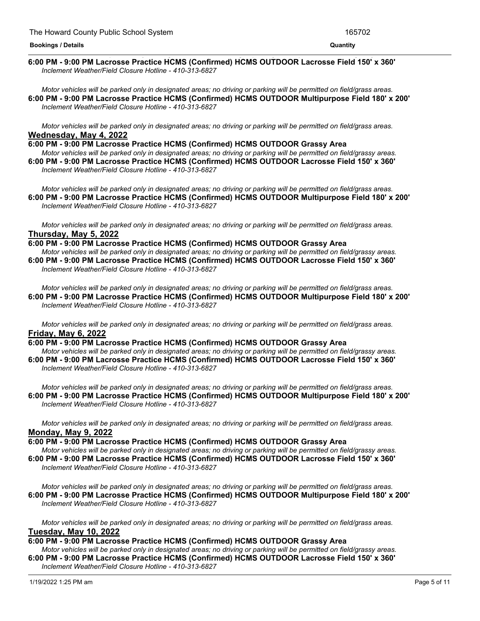#### <u> 1989 - Andrea San Andrea San Andrea San Andrea San Andrea San Andrea San Andrea San Andrea San Andrea San An</u> **6:00 PM - 9:00 PM Lacrosse Practice HCMS (Confirmed) HCMS OUTDOOR Lacrosse Field 150' x 360'** *Inclement Weather/Field Closure Hotline - 410-313-6827*

Motor vehicles will be parked only in designated areas; no driving or parking will be permitted on field/grass areas. **6:00 PM - 9:00 PM Lacrosse Practice HCMS (Confirmed) HCMS OUTDOOR Multipurpose Field 180' x 200'** *Inclement Weather/Field Closure Hotline - 410-313-6827*

Motor vehicles will be parked only in designated areas; no driving or parking will be permitted on field/grass areas. **Wednesday, May 4, 2022**

**6:00 PM - 9:00 PM Lacrosse Practice HCMS (Confirmed) HCMS OUTDOOR Grassy Area** Motor vehicles will be parked only in designated areas; no driving or parking will be permitted on field/grassy areas. **6:00 PM - 9:00 PM Lacrosse Practice HCMS (Confirmed) HCMS OUTDOOR Lacrosse Field 150' x 360'** *Inclement Weather/Field Closure Hotline - 410-313-6827*

Motor vehicles will be parked only in designated areas; no driving or parking will be permitted on field/grass areas. **6:00 PM - 9:00 PM Lacrosse Practice HCMS (Confirmed) HCMS OUTDOOR Multipurpose Field 180' x 200'** *Inclement Weather/Field Closure Hotline - 410-313-6827*

Motor vehicles will be parked only in designated areas; no driving or parking will be permitted on field/grass areas. **Thursday, May 5, 2022**

**6:00 PM - 9:00 PM Lacrosse Practice HCMS (Confirmed) HCMS OUTDOOR Grassy Area**

Motor vehicles will be parked only in designated areas; no driving or parking will be permitted on field/grassy areas. **6:00 PM - 9:00 PM Lacrosse Practice HCMS (Confirmed) HCMS OUTDOOR Lacrosse Field 150' x 360'** *Inclement Weather/Field Closure Hotline - 410-313-6827*

Motor vehicles will be parked only in designated areas; no driving or parking will be permitted on field/grass areas. **6:00 PM - 9:00 PM Lacrosse Practice HCMS (Confirmed) HCMS OUTDOOR Multipurpose Field 180' x 200'** *Inclement Weather/Field Closure Hotline - 410-313-6827*

Motor vehicles will be parked only in designated areas; no driving or parking will be permitted on field/grass areas. **Friday, May 6, 2022**

**6:00 PM - 9:00 PM Lacrosse Practice HCMS (Confirmed) HCMS OUTDOOR Grassy Area** Motor vehicles will be parked only in designated areas; no driving or parking will be permitted on field/grassy areas. **6:00 PM - 9:00 PM Lacrosse Practice HCMS (Confirmed) HCMS OUTDOOR Lacrosse Field 150' x 360'**

*Inclement Weather/Field Closure Hotline - 410-313-6827*

Motor vehicles will be parked only in designated areas; no driving or parking will be permitted on field/grass areas. **6:00 PM - 9:00 PM Lacrosse Practice HCMS (Confirmed) HCMS OUTDOOR Multipurpose Field 180' x 200'** *Inclement Weather/Field Closure Hotline - 410-313-6827*

Motor vehicles will be parked only in designated areas; no driving or parking will be permitted on field/grass areas. **Monday, May 9, 2022**

**6:00 PM - 9:00 PM Lacrosse Practice HCMS (Confirmed) HCMS OUTDOOR Grassy Area** Motor vehicles will be parked only in designated areas; no driving or parking will be permitted on field/grassy areas. **6:00 PM - 9:00 PM Lacrosse Practice HCMS (Confirmed) HCMS OUTDOOR Lacrosse Field 150' x 360'** *Inclement Weather/Field Closure Hotline - 410-313-6827*

Motor vehicles will be parked only in designated areas; no driving or parking will be permitted on field/grass areas. **6:00 PM - 9:00 PM Lacrosse Practice HCMS (Confirmed) HCMS OUTDOOR Multipurpose Field 180' x 200'** *Inclement Weather/Field Closure Hotline - 410-313-6827*

Motor vehicles will be parked only in designated areas; no driving or parking will be permitted on field/grass areas. **Tuesday, May 10, 2022**

## **6:00 PM - 9:00 PM Lacrosse Practice HCMS (Confirmed) HCMS OUTDOOR Grassy Area**

Motor vehicles will be parked only in designated areas; no driving or parking will be permitted on field/grassy areas. **6:00 PM - 9:00 PM Lacrosse Practice HCMS (Confirmed) HCMS OUTDOOR Lacrosse Field 150' x 360'** *Inclement Weather/Field Closure Hotline - 410-313-6827*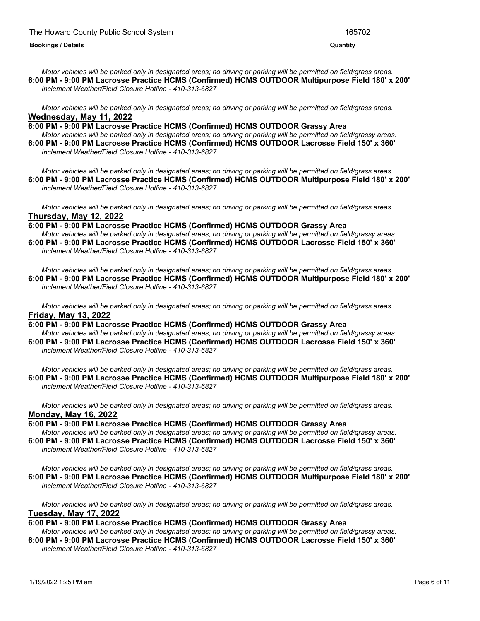Motor vehicles will be parked only in designated areas; no driving or parking will be permitted on field/grass areas. **6:00 PM - 9:00 PM Lacrosse Practice HCMS (Confirmed) HCMS OUTDOOR Multipurpose Field 180' x 200'** *Inclement Weather/Field Closure Hotline - 410-313-6827*

Motor vehicles will be parked only in designated areas; no driving or parking will be permitted on field/grass areas. **Wednesday, May 11, 2022**

**6:00 PM - 9:00 PM Lacrosse Practice HCMS (Confirmed) HCMS OUTDOOR Grassy Area**

Motor vehicles will be parked only in designated areas; no driving or parking will be permitted on field/grassy areas. **6:00 PM - 9:00 PM Lacrosse Practice HCMS (Confirmed) HCMS OUTDOOR Lacrosse Field 150' x 360'** *Inclement Weather/Field Closure Hotline - 410-313-6827*

Motor vehicles will be parked only in designated areas; no driving or parking will be permitted on field/grass areas. **6:00 PM - 9:00 PM Lacrosse Practice HCMS (Confirmed) HCMS OUTDOOR Multipurpose Field 180' x 200'** *Inclement Weather/Field Closure Hotline - 410-313-6827*

Motor vehicles will be parked only in designated areas; no driving or parking will be permitted on field/grass areas. **Thursday, May 12, 2022**

**6:00 PM - 9:00 PM Lacrosse Practice HCMS (Confirmed) HCMS OUTDOOR Grassy Area** Motor vehicles will be parked only in designated areas; no driving or parking will be permitted on field/grassy areas.

**6:00 PM - 9:00 PM Lacrosse Practice HCMS (Confirmed) HCMS OUTDOOR Lacrosse Field 150' x 360'** *Inclement Weather/Field Closure Hotline - 410-313-6827*

Motor vehicles will be parked only in designated areas; no driving or parking will be permitted on field/grass areas. **6:00 PM - 9:00 PM Lacrosse Practice HCMS (Confirmed) HCMS OUTDOOR Multipurpose Field 180' x 200'** *Inclement Weather/Field Closure Hotline - 410-313-6827*

Motor vehicles will be parked only in designated areas; no driving or parking will be permitted on field/grass areas. **Friday, May 13, 2022**

**6:00 PM - 9:00 PM Lacrosse Practice HCMS (Confirmed) HCMS OUTDOOR Grassy Area** Motor vehicles will be parked only in designated areas; no driving or parking will be permitted on field/grassy areas. **6:00 PM - 9:00 PM Lacrosse Practice HCMS (Confirmed) HCMS OUTDOOR Lacrosse Field 150' x 360'** *Inclement Weather/Field Closure Hotline - 410-313-6827*

Motor vehicles will be parked only in designated areas; no driving or parking will be permitted on field/grass areas. **6:00 PM - 9:00 PM Lacrosse Practice HCMS (Confirmed) HCMS OUTDOOR Multipurpose Field 180' x 200'** *Inclement Weather/Field Closure Hotline - 410-313-6827*

Motor vehicles will be parked only in designated areas; no driving or parking will be permitted on field/grass areas. **Monday, May 16, 2022**

**6:00 PM - 9:00 PM Lacrosse Practice HCMS (Confirmed) HCMS OUTDOOR Grassy Area**

Motor vehicles will be parked only in designated areas; no driving or parking will be permitted on field/grassy areas. **6:00 PM - 9:00 PM Lacrosse Practice HCMS (Confirmed) HCMS OUTDOOR Lacrosse Field 150' x 360'** *Inclement Weather/Field Closure Hotline - 410-313-6827*

Motor vehicles will be parked only in designated areas; no driving or parking will be permitted on field/grass areas. **6:00 PM - 9:00 PM Lacrosse Practice HCMS (Confirmed) HCMS OUTDOOR Multipurpose Field 180' x 200'** *Inclement Weather/Field Closure Hotline - 410-313-6827*

Motor vehicles will be parked only in designated areas; no driving or parking will be permitted on field/grass areas. **Tuesday, May 17, 2022**

## **6:00 PM - 9:00 PM Lacrosse Practice HCMS (Confirmed) HCMS OUTDOOR Grassy Area**

Motor vehicles will be parked only in designated areas; no driving or parking will be permitted on field/grassy areas. **6:00 PM - 9:00 PM Lacrosse Practice HCMS (Confirmed) HCMS OUTDOOR Lacrosse Field 150' x 360'**

*Inclement Weather/Field Closure Hotline - 410-313-6827*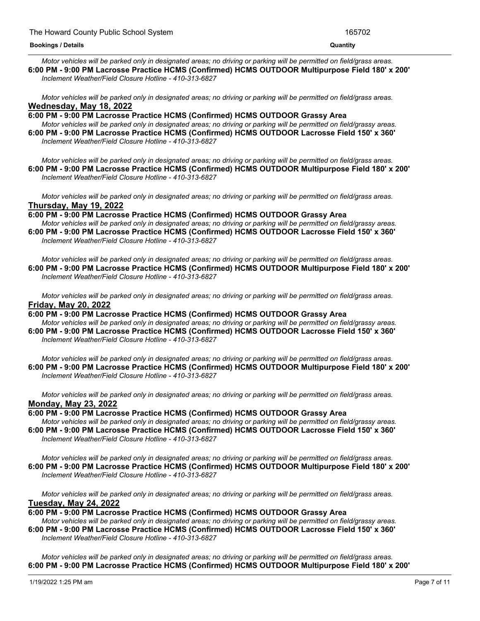Motor vehicles will be parked only in designated areas; no driving or parking will be permitted on field/grass areas. **6:00 PM - 9:00 PM Lacrosse Practice HCMS (Confirmed) HCMS OUTDOOR Multipurpose Field 180' x 200'** *Inclement Weather/Field Closure Hotline - 410-313-6827*

Motor vehicles will be parked only in designated areas; no driving or parking will be permitted on field/grass areas. **Wednesday, May 18, 2022**

**6:00 PM - 9:00 PM Lacrosse Practice HCMS (Confirmed) HCMS OUTDOOR Grassy Area** Motor vehicles will be parked only in designated areas; no driving or parking will be permitted on field/grassy areas. **6:00 PM - 9:00 PM Lacrosse Practice HCMS (Confirmed) HCMS OUTDOOR Lacrosse Field 150' x 360'** *Inclement Weather/Field Closure Hotline - 410-313-6827*

Motor vehicles will be parked only in designated areas; no driving or parking will be permitted on field/grass areas. **6:00 PM - 9:00 PM Lacrosse Practice HCMS (Confirmed) HCMS OUTDOOR Multipurpose Field 180' x 200'** *Inclement Weather/Field Closure Hotline - 410-313-6827*

Motor vehicles will be parked only in designated areas; no driving or parking will be permitted on field/grass areas. **Thursday, May 19, 2022**

**6:00 PM - 9:00 PM Lacrosse Practice HCMS (Confirmed) HCMS OUTDOOR Grassy Area**

Motor vehicles will be parked only in designated areas; no driving or parking will be permitted on field/grassy areas. **6:00 PM - 9:00 PM Lacrosse Practice HCMS (Confirmed) HCMS OUTDOOR Lacrosse Field 150' x 360'** *Inclement Weather/Field Closure Hotline - 410-313-6827*

Motor vehicles will be parked only in designated areas; no driving or parking will be permitted on field/grass areas. **6:00 PM - 9:00 PM Lacrosse Practice HCMS (Confirmed) HCMS OUTDOOR Multipurpose Field 180' x 200'** *Inclement Weather/Field Closure Hotline - 410-313-6827*

Motor vehicles will be parked only in designated areas; no driving or parking will be permitted on field/grass areas. **Friday, May 20, 2022**

**6:00 PM - 9:00 PM Lacrosse Practice HCMS (Confirmed) HCMS OUTDOOR Grassy Area** Motor vehicles will be parked only in designated areas; no driving or parking will be permitted on field/grassy areas. **6:00 PM - 9:00 PM Lacrosse Practice HCMS (Confirmed) HCMS OUTDOOR Lacrosse Field 150' x 360'**

*Inclement Weather/Field Closure Hotline - 410-313-6827*

Motor vehicles will be parked only in designated areas; no driving or parking will be permitted on field/grass areas. **6:00 PM - 9:00 PM Lacrosse Practice HCMS (Confirmed) HCMS OUTDOOR Multipurpose Field 180' x 200'** *Inclement Weather/Field Closure Hotline - 410-313-6827*

Motor vehicles will be parked only in designated areas; no driving or parking will be permitted on field/grass areas. **Monday, May 23, 2022**

**6:00 PM - 9:00 PM Lacrosse Practice HCMS (Confirmed) HCMS OUTDOOR Grassy Area**

Motor vehicles will be parked only in designated areas; no driving or parking will be permitted on field/grassy areas. **6:00 PM - 9:00 PM Lacrosse Practice HCMS (Confirmed) HCMS OUTDOOR Lacrosse Field 150' x 360'** *Inclement Weather/Field Closure Hotline - 410-313-6827*

Motor vehicles will be parked only in designated areas; no driving or parking will be permitted on field/grass areas. **6:00 PM - 9:00 PM Lacrosse Practice HCMS (Confirmed) HCMS OUTDOOR Multipurpose Field 180' x 200'** *Inclement Weather/Field Closure Hotline - 410-313-6827*

Motor vehicles will be parked only in designated areas; no driving or parking will be permitted on field/grass areas. **Tuesday, May 24, 2022**

**6:00 PM - 9:00 PM Lacrosse Practice HCMS (Confirmed) HCMS OUTDOOR Grassy Area**

Motor vehicles will be parked only in designated areas; no driving or parking will be permitted on field/grassy areas. **6:00 PM - 9:00 PM Lacrosse Practice HCMS (Confirmed) HCMS OUTDOOR Lacrosse Field 150' x 360'** *Inclement Weather/Field Closure Hotline - 410-313-6827*

Motor vehicles will be parked only in designated areas; no driving or parking will be permitted on field/grass areas. **6:00 PM - 9:00 PM Lacrosse Practice HCMS (Confirmed) HCMS OUTDOOR Multipurpose Field 180' x 200'**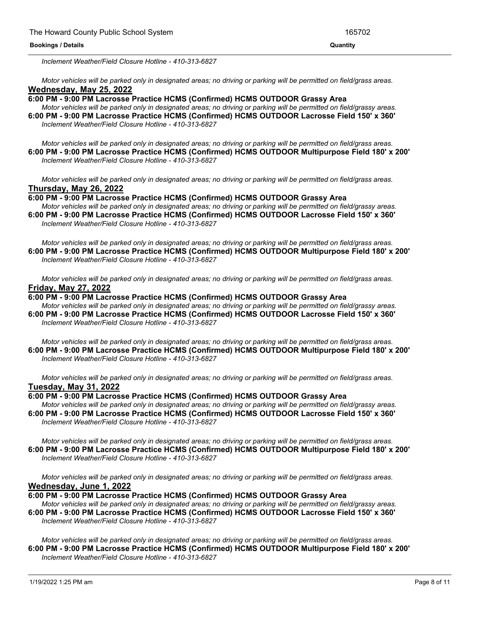*Inclement Weather/Field Closure Hotline - 410-313-6827*

Motor vehicles will be parked only in designated areas; no driving or parking will be permitted on field/grass areas. **Wednesday, May 25, 2022**

**6:00 PM - 9:00 PM Lacrosse Practice HCMS (Confirmed) HCMS OUTDOOR Grassy Area**

Motor vehicles will be parked only in designated areas; no driving or parking will be permitted on field/grassy areas. **6:00 PM - 9:00 PM Lacrosse Practice HCMS (Confirmed) HCMS OUTDOOR Lacrosse Field 150' x 360'** *Inclement Weather/Field Closure Hotline - 410-313-6827*

Motor vehicles will be parked only in designated areas; no driving or parking will be permitted on field/grass areas. **6:00 PM - 9:00 PM Lacrosse Practice HCMS (Confirmed) HCMS OUTDOOR Multipurpose Field 180' x 200'** *Inclement Weather/Field Closure Hotline - 410-313-6827*

Motor vehicles will be parked only in designated areas; no driving or parking will be permitted on field/grass areas. **Thursday, May 26, 2022**

**6:00 PM - 9:00 PM Lacrosse Practice HCMS (Confirmed) HCMS OUTDOOR Grassy Area** Motor vehicles will be parked only in designated areas; no driving or parking will be permitted on field/grassy areas.

**6:00 PM - 9:00 PM Lacrosse Practice HCMS (Confirmed) HCMS OUTDOOR Lacrosse Field 150' x 360'** *Inclement Weather/Field Closure Hotline - 410-313-6827*

Motor vehicles will be parked only in designated areas; no driving or parking will be permitted on field/grass areas. **6:00 PM - 9:00 PM Lacrosse Practice HCMS (Confirmed) HCMS OUTDOOR Multipurpose Field 180' x 200'** *Inclement Weather/Field Closure Hotline - 410-313-6827*

Motor vehicles will be parked only in designated areas; no driving or parking will be permitted on field/grass areas. **Friday, May 27, 2022**

## **6:00 PM - 9:00 PM Lacrosse Practice HCMS (Confirmed) HCMS OUTDOOR Grassy Area**

Motor vehicles will be parked only in designated areas; no driving or parking will be permitted on field/grassy areas. **6:00 PM - 9:00 PM Lacrosse Practice HCMS (Confirmed) HCMS OUTDOOR Lacrosse Field 150' x 360'** *Inclement Weather/Field Closure Hotline - 410-313-6827*

Motor vehicles will be parked only in designated areas; no driving or parking will be permitted on field/grass areas. **6:00 PM - 9:00 PM Lacrosse Practice HCMS (Confirmed) HCMS OUTDOOR Multipurpose Field 180' x 200'** *Inclement Weather/Field Closure Hotline - 410-313-6827*

Motor vehicles will be parked only in designated areas; no driving or parking will be permitted on field/grass areas. **Tuesday, May 31, 2022**

### **6:00 PM - 9:00 PM Lacrosse Practice HCMS (Confirmed) HCMS OUTDOOR Grassy Area**

Motor vehicles will be parked only in designated areas; no driving or parking will be permitted on field/grassy areas. **6:00 PM - 9:00 PM Lacrosse Practice HCMS (Confirmed) HCMS OUTDOOR Lacrosse Field 150' x 360'** *Inclement Weather/Field Closure Hotline - 410-313-6827*

Motor vehicles will be parked only in designated areas; no driving or parking will be permitted on field/grass areas. **6:00 PM - 9:00 PM Lacrosse Practice HCMS (Confirmed) HCMS OUTDOOR Multipurpose Field 180' x 200'** *Inclement Weather/Field Closure Hotline - 410-313-6827*

Motor vehicles will be parked only in designated areas; no driving or parking will be permitted on field/grass areas. **Wednesday, June 1, 2022**

**6:00 PM - 9:00 PM Lacrosse Practice HCMS (Confirmed) HCMS OUTDOOR Grassy Area**

Motor vehicles will be parked only in designated areas; no driving or parking will be permitted on field/grassy areas. **6:00 PM - 9:00 PM Lacrosse Practice HCMS (Confirmed) HCMS OUTDOOR Lacrosse Field 150' x 360'** *Inclement Weather/Field Closure Hotline - 410-313-6827*

Motor vehicles will be parked only in designated areas; no driving or parking will be permitted on field/grass areas. **6:00 PM - 9:00 PM Lacrosse Practice HCMS (Confirmed) HCMS OUTDOOR Multipurpose Field 180' x 200'** *Inclement Weather/Field Closure Hotline - 410-313-6827*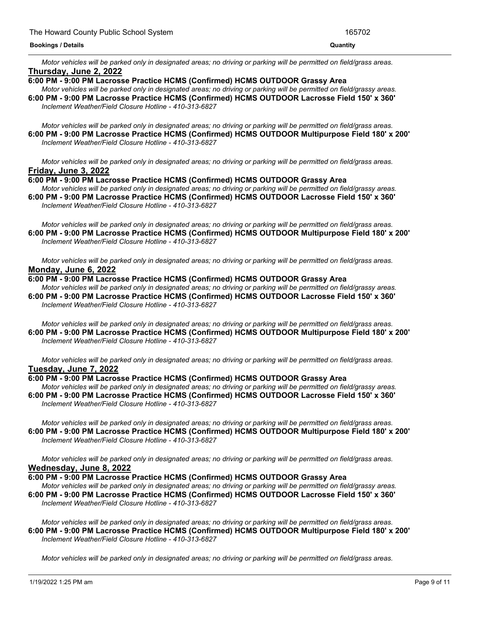Motor vehicles will be parked only in designated areas; no driving or parking will be permitted on field/grass areas. **Thursday, June 2, 2022**

**6:00 PM - 9:00 PM Lacrosse Practice HCMS (Confirmed) HCMS OUTDOOR Grassy Area** Motor vehicles will be parked only in designated areas; no driving or parking will be permitted on field/grassy areas. **6:00 PM - 9:00 PM Lacrosse Practice HCMS (Confirmed) HCMS OUTDOOR Lacrosse Field 150' x 360'**

*Inclement Weather/Field Closure Hotline - 410-313-6827*

Motor vehicles will be parked only in designated areas; no driving or parking will be permitted on field/grass areas. **6:00 PM - 9:00 PM Lacrosse Practice HCMS (Confirmed) HCMS OUTDOOR Multipurpose Field 180' x 200'** *Inclement Weather/Field Closure Hotline - 410-313-6827*

Motor vehicles will be parked only in designated areas; no driving or parking will be permitted on field/grass areas. **Friday, June 3, 2022**

### **6:00 PM - 9:00 PM Lacrosse Practice HCMS (Confirmed) HCMS OUTDOOR Grassy Area**

Motor vehicles will be parked only in designated areas; no driving or parking will be permitted on field/grassy areas. **6:00 PM - 9:00 PM Lacrosse Practice HCMS (Confirmed) HCMS OUTDOOR Lacrosse Field 150' x 360'** *Inclement Weather/Field Closure Hotline - 410-313-6827*

Motor vehicles will be parked only in designated areas; no driving or parking will be permitted on field/grass areas. **6:00 PM - 9:00 PM Lacrosse Practice HCMS (Confirmed) HCMS OUTDOOR Multipurpose Field 180' x 200'** *Inclement Weather/Field Closure Hotline - 410-313-6827*

Motor vehicles will be parked only in designated areas; no driving or parking will be permitted on field/grass areas. **Monday, June 6, 2022**

#### **6:00 PM - 9:00 PM Lacrosse Practice HCMS (Confirmed) HCMS OUTDOOR Grassy Area**

Motor vehicles will be parked only in designated areas; no driving or parking will be permitted on field/grassy areas. **6:00 PM - 9:00 PM Lacrosse Practice HCMS (Confirmed) HCMS OUTDOOR Lacrosse Field 150' x 360'** *Inclement Weather/Field Closure Hotline - 410-313-6827*

Motor vehicles will be parked only in designated areas; no driving or parking will be permitted on field/grass areas. **6:00 PM - 9:00 PM Lacrosse Practice HCMS (Confirmed) HCMS OUTDOOR Multipurpose Field 180' x 200'** *Inclement Weather/Field Closure Hotline - 410-313-6827*

Motor vehicles will be parked only in designated areas; no driving or parking will be permitted on field/grass areas. **Tuesday, June 7, 2022**

**6:00 PM - 9:00 PM Lacrosse Practice HCMS (Confirmed) HCMS OUTDOOR Grassy Area** Motor vehicles will be parked only in designated areas; no driving or parking will be permitted on field/grassy areas. **6:00 PM - 9:00 PM Lacrosse Practice HCMS (Confirmed) HCMS OUTDOOR Lacrosse Field 150' x 360'** *Inclement Weather/Field Closure Hotline - 410-313-6827*

Motor vehicles will be parked only in designated areas; no driving or parking will be permitted on field/grass areas. **6:00 PM - 9:00 PM Lacrosse Practice HCMS (Confirmed) HCMS OUTDOOR Multipurpose Field 180' x 200'** *Inclement Weather/Field Closure Hotline - 410-313-6827*

Motor vehicles will be parked only in designated areas; no driving or parking will be permitted on field/grass areas. **Wednesday, June 8, 2022**

## **6:00 PM - 9:00 PM Lacrosse Practice HCMS (Confirmed) HCMS OUTDOOR Grassy Area**

Motor vehicles will be parked only in designated areas; no driving or parking will be permitted on field/grassy areas. **6:00 PM - 9:00 PM Lacrosse Practice HCMS (Confirmed) HCMS OUTDOOR Lacrosse Field 150' x 360'** *Inclement Weather/Field Closure Hotline - 410-313-6827*

Motor vehicles will be parked only in designated areas; no driving or parking will be permitted on field/grass areas. **6:00 PM - 9:00 PM Lacrosse Practice HCMS (Confirmed) HCMS OUTDOOR Multipurpose Field 180' x 200'** *Inclement Weather/Field Closure Hotline - 410-313-6827*

Motor vehicles will be parked only in designated areas; no driving or parking will be permitted on field/grass areas.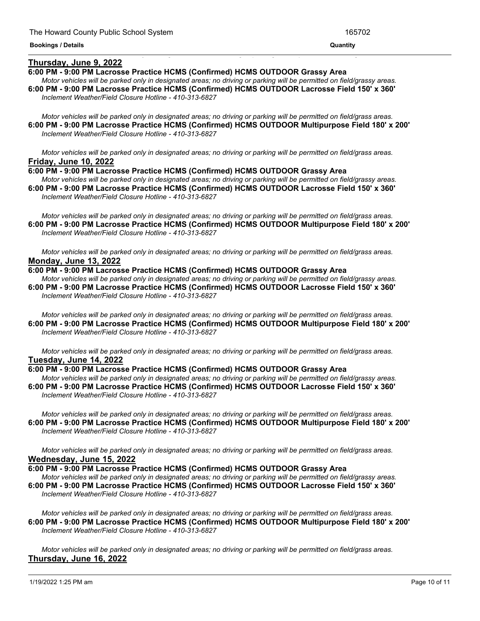## **Thursday, June 9, 2022**

## **6:00 PM - 9:00 PM Lacrosse Practice HCMS (Confirmed) HCMS OUTDOOR Grassy Area**

Motor vehicles will be parked only in designated areas; no driving or parking will be permitted on field/grassy areas. **6:00 PM - 9:00 PM Lacrosse Practice HCMS (Confirmed) HCMS OUTDOOR Lacrosse Field 150' x 360'** *Inclement Weather/Field Closure Hotline - 410-313-6827*

<u> 1999 - Jan James James James James James James James James James James James James James James James James J</u>

Motor vehicles will be parked only in designated areas; no driving or parking will be permitted on field/grass areas. **6:00 PM - 9:00 PM Lacrosse Practice HCMS (Confirmed) HCMS OUTDOOR Multipurpose Field 180' x 200'** *Inclement Weather/Field Closure Hotline - 410-313-6827*

Motor vehicles will be parked only in designated areas; no driving or parking will be permitted on field/grass areas. **Friday, June 10, 2022**

**6:00 PM - 9:00 PM Lacrosse Practice HCMS (Confirmed) HCMS OUTDOOR Grassy Area**

Motor vehicles will be parked only in designated areas; no driving or parking will be permitted on field/grassy areas. **6:00 PM - 9:00 PM Lacrosse Practice HCMS (Confirmed) HCMS OUTDOOR Lacrosse Field 150' x 360'** *Inclement Weather/Field Closure Hotline - 410-313-6827*

Motor vehicles will be parked only in designated areas; no driving or parking will be permitted on field/grass areas. **6:00 PM - 9:00 PM Lacrosse Practice HCMS (Confirmed) HCMS OUTDOOR Multipurpose Field 180' x 200'** *Inclement Weather/Field Closure Hotline - 410-313-6827*

Motor vehicles will be parked only in designated areas; no driving or parking will be permitted on field/grass areas. **Monday, June 13, 2022**

### **6:00 PM - 9:00 PM Lacrosse Practice HCMS (Confirmed) HCMS OUTDOOR Grassy Area**

Motor vehicles will be parked only in designated areas; no driving or parking will be permitted on field/grassy areas. **6:00 PM - 9:00 PM Lacrosse Practice HCMS (Confirmed) HCMS OUTDOOR Lacrosse Field 150' x 360'** *Inclement Weather/Field Closure Hotline - 410-313-6827*

Motor vehicles will be parked only in designated areas; no driving or parking will be permitted on field/grass areas. **6:00 PM - 9:00 PM Lacrosse Practice HCMS (Confirmed) HCMS OUTDOOR Multipurpose Field 180' x 200'** *Inclement Weather/Field Closure Hotline - 410-313-6827*

Motor vehicles will be parked only in designated areas; no driving or parking will be permitted on field/grass areas. **Tuesday, June 14, 2022**

#### **6:00 PM - 9:00 PM Lacrosse Practice HCMS (Confirmed) HCMS OUTDOOR Grassy Area**

Motor vehicles will be parked only in designated areas; no driving or parking will be permitted on field/grassy areas. **6:00 PM - 9:00 PM Lacrosse Practice HCMS (Confirmed) HCMS OUTDOOR Lacrosse Field 150' x 360'** *Inclement Weather/Field Closure Hotline - 410-313-6827*

Motor vehicles will be parked only in designated areas; no driving or parking will be permitted on field/grass areas. **6:00 PM - 9:00 PM Lacrosse Practice HCMS (Confirmed) HCMS OUTDOOR Multipurpose Field 180' x 200'** *Inclement Weather/Field Closure Hotline - 410-313-6827*

Motor vehicles will be parked only in designated areas; no driving or parking will be permitted on field/grass areas. **Wednesday, June 15, 2022**

**6:00 PM - 9:00 PM Lacrosse Practice HCMS (Confirmed) HCMS OUTDOOR Grassy Area** Motor vehicles will be parked only in designated areas; no driving or parking will be permitted on field/grassy areas. **6:00 PM - 9:00 PM Lacrosse Practice HCMS (Confirmed) HCMS OUTDOOR Lacrosse Field 150' x 360'** *Inclement Weather/Field Closure Hotline - 410-313-6827*

Motor vehicles will be parked only in designated areas; no driving or parking will be permitted on field/grass areas. **6:00 PM - 9:00 PM Lacrosse Practice HCMS (Confirmed) HCMS OUTDOOR Multipurpose Field 180' x 200'** *Inclement Weather/Field Closure Hotline - 410-313-6827*

Motor vehicles will be parked only in designated areas; no driving or parking will be permitted on field/grass areas. **Thursday, June 16, 2022**